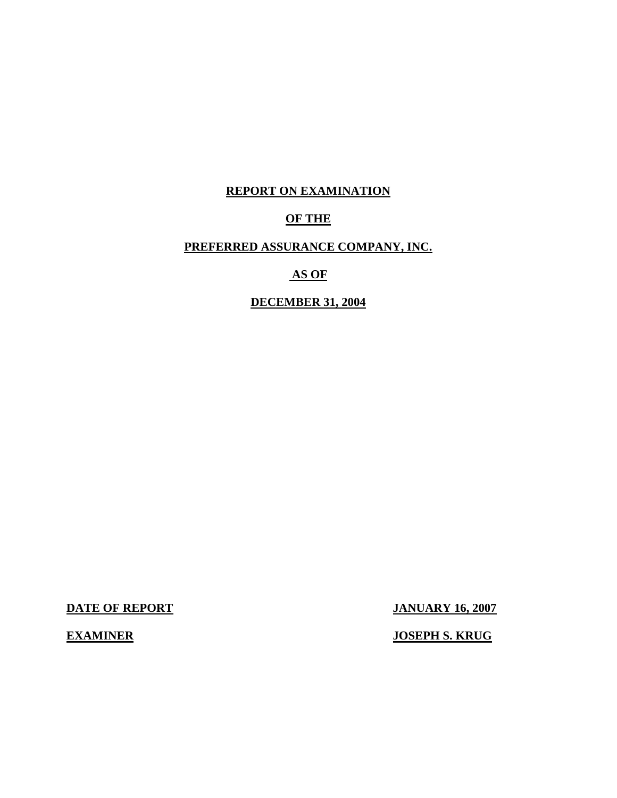## **REPORT ON EXAMINATION**

## **OF THE**

## **PREFERRED ASSURANCE COMPANY, INC.**

## **AS OF**

**DECEMBER 31, 2004** 

**DATE OF REPORT JANUARY 16, 2007** 

 **EXAMINER JOSEPH S. KRUG**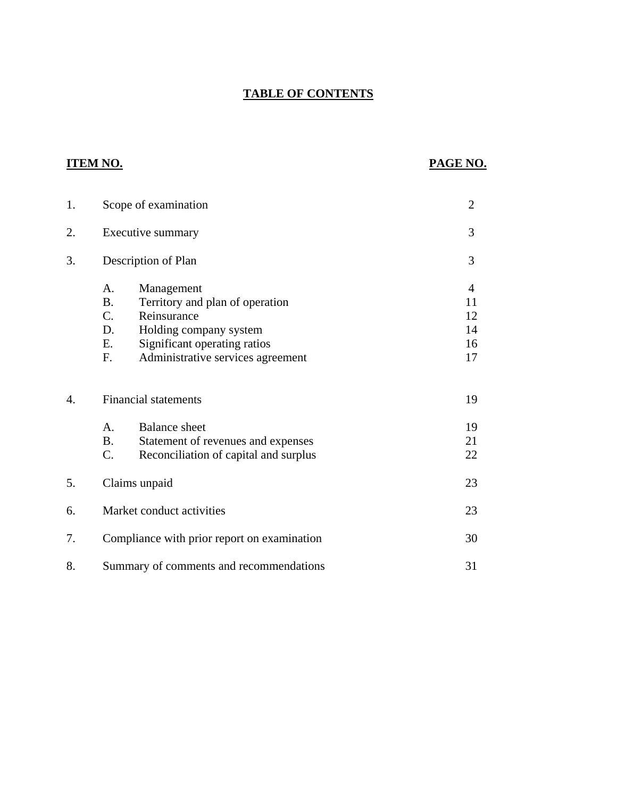## **TABLE OF CONTENTS**

## **ITEM NO.**

## **PAGE NO.**

| 1. | Scope of examination                        |                                                                                                                                                             | $\overline{2}$                               |
|----|---------------------------------------------|-------------------------------------------------------------------------------------------------------------------------------------------------------------|----------------------------------------------|
| 2. | Executive summary                           |                                                                                                                                                             | 3                                            |
| 3. |                                             | Description of Plan                                                                                                                                         | 3                                            |
|    | А.<br><b>B.</b><br>C.<br>D.<br>Ε.<br>F.     | Management<br>Territory and plan of operation<br>Reinsurance<br>Holding company system<br>Significant operating ratios<br>Administrative services agreement | $\overline{4}$<br>11<br>12<br>14<br>16<br>17 |
| 4. |                                             | <b>Financial statements</b>                                                                                                                                 | 19                                           |
|    | A.<br><b>B.</b><br>C.                       | <b>Balance</b> sheet<br>Statement of revenues and expenses<br>Reconciliation of capital and surplus                                                         | 19<br>21<br>22                               |
| 5. | Claims unpaid                               |                                                                                                                                                             | 23                                           |
| 6. | Market conduct activities                   |                                                                                                                                                             | 23                                           |
| 7. | Compliance with prior report on examination |                                                                                                                                                             | 30                                           |
| 8. | Summary of comments and recommendations     |                                                                                                                                                             | 31                                           |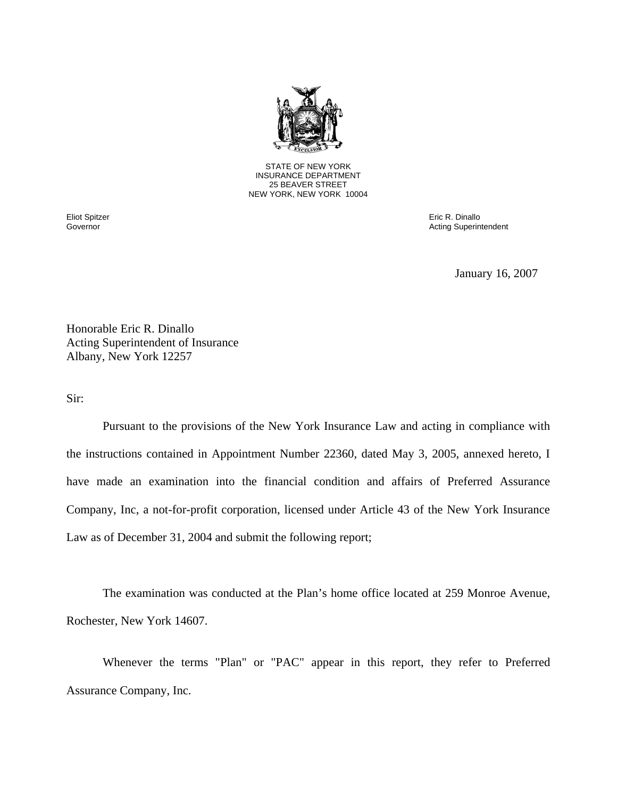

STATE OF NEW YORK INSURANCE DEPARTMENT 25 BEAVER STREET NEW YORK, NEW YORK 10004

Governor

Eliot Spitzer Eric R. Dinallo Acting Superintendent

January 16, 2007

Honorable Eric R. Dinallo Acting Superintendent of Insurance Albany, New York 12257

Sir:

Pursuant to the provisions of the New York Insurance Law and acting in compliance with the instructions contained in Appointment Number 22360, dated May 3, 2005, annexed hereto, I have made an examination into the financial condition and affairs of Preferred Assurance Company, Inc, a not-for-profit corporation, licensed under Article 43 of the New York Insurance Law as of December 31, 2004 and submit the following report;

The examination was conducted at the Plan's home office located at 259 Monroe Avenue, Rochester, New York 14607.

Whenever the terms "Plan" or "PAC" appear in this report, they refer to Preferred Assurance Company, Inc.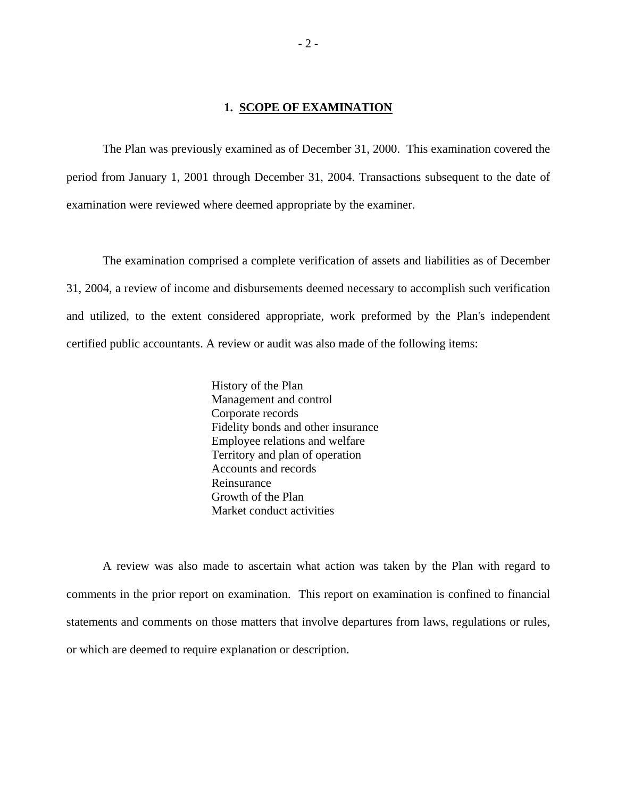#### **1. SCOPE OF EXAMINATION**

The Plan was previously examined as of December 31, 2000. This examination covered the period from January 1, 2001 through December 31, 2004. Transactions subsequent to the date of examination were reviewed where deemed appropriate by the examiner.

The examination comprised a complete verification of assets and liabilities as of December 31, 2004, a review of income and disbursements deemed necessary to accomplish such verification and utilized, to the extent considered appropriate, work preformed by the Plan's independent certified public accountants. A review or audit was also made of the following items:

> History of the Plan Management and control Corporate records Fidelity bonds and other insurance Employee relations and welfare Territory and plan of operation Accounts and records Reinsurance Growth of the Plan Market conduct activities

A review was also made to ascertain what action was taken by the Plan with regard to comments in the prior report on examination. This report on examination is confined to financial statements and comments on those matters that involve departures from laws, regulations or rules, or which are deemed to require explanation or description.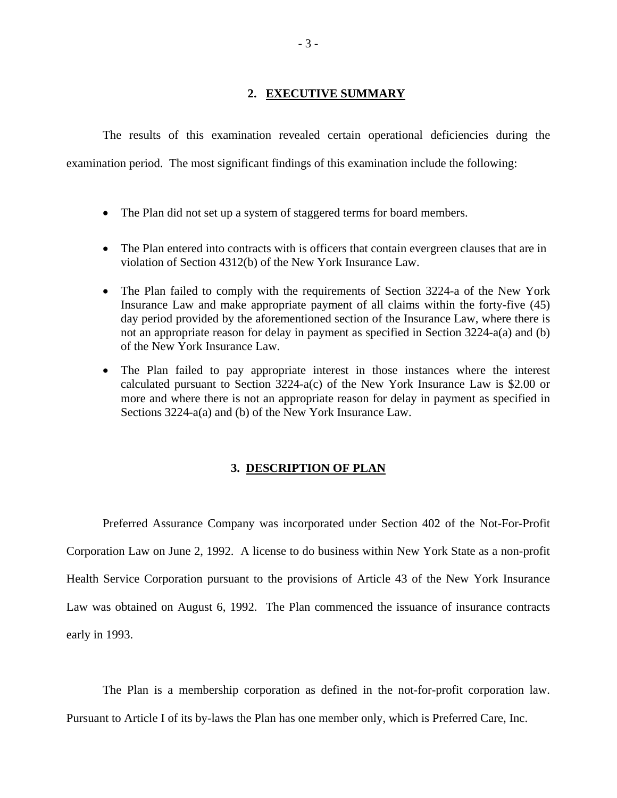#### **2. EXECUTIVE SUMMARY**

The results of this examination revealed certain operational deficiencies during the examination period. The most significant findings of this examination include the following:

- The Plan did not set up a system of staggered terms for board members.
- The Plan entered into contracts with is officers that contain evergreen clauses that are in violation of Section 4312(b) of the New York Insurance Law.
- The Plan failed to comply with the requirements of Section 3224-a of the New York Insurance Law and make appropriate payment of all claims within the forty-five (45) day period provided by the aforementioned section of the Insurance Law, where there is not an appropriate reason for delay in payment as specified in Section 3224-a(a) and (b) of the New York Insurance Law.
- The Plan failed to pay appropriate interest in those instances where the interest calculated pursuant to Section 3224-a(c) of the New York Insurance Law is \$2.00 or more and where there is not an appropriate reason for delay in payment as specified in Sections 3224-a(a) and (b) of the New York Insurance Law.

#### **3. DESCRIPTION OF PLAN**

Preferred Assurance Company was incorporated under Section 402 of the Not-For-Profit Corporation Law on June 2, 1992. A license to do business within New York State as a non-profit Health Service Corporation pursuant to the provisions of Article 43 of the New York Insurance Law was obtained on August 6, 1992. The Plan commenced the issuance of insurance contracts early in 1993.

The Plan is a membership corporation as defined in the not-for-profit corporation law. Pursuant to Article I of its by-laws the Plan has one member only, which is Preferred Care, Inc.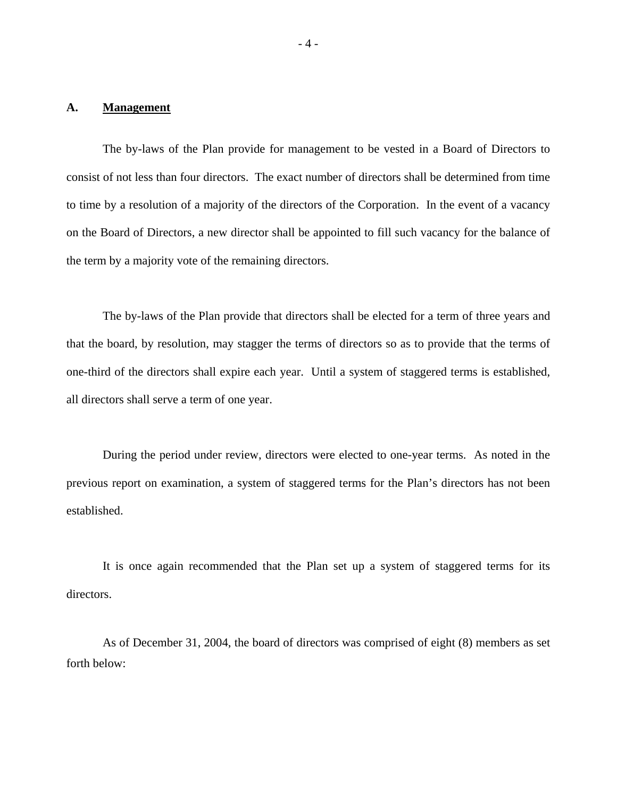#### **A. Management**

The by-laws of the Plan provide for management to be vested in a Board of Directors to consist of not less than four directors. The exact number of directors shall be determined from time to time by a resolution of a majority of the directors of the Corporation. In the event of a vacancy on the Board of Directors, a new director shall be appointed to fill such vacancy for the balance of the term by a majority vote of the remaining directors.

 one-third of the directors shall expire each year. Until a system of staggered terms is established, The by-laws of the Plan provide that directors shall be elected for a term of three years and that the board, by resolution, may stagger the terms of directors so as to provide that the terms of all directors shall serve a term of one year.

During the period under review, directors were elected to one-year terms. As noted in the previous report on examination, a system of staggered terms for the Plan's directors has not been established.

It is once again recommended that the Plan set up a system of staggered terms for its directors.

As of December 31, 2004, the board of directors was comprised of eight (8) members as set forth below: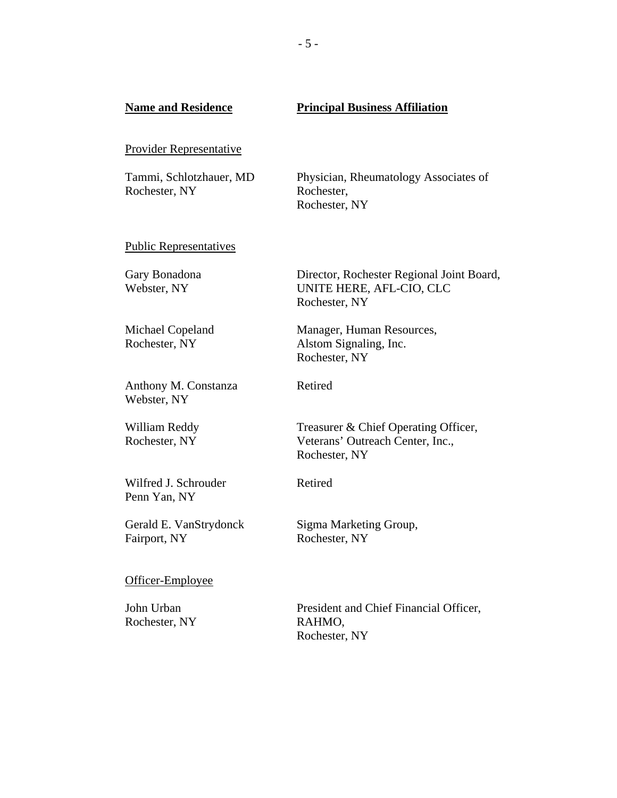# Public Representatives Gary Bonadona Webster, NY Rochester, Rochester, NY Director, Rochester Regional Joint Board, UNITE HERE, AFL-CIO, CLC Rochester, NY Manager, Human Resources,

Michael Copeland Rochester, NY

Anthony M. Constanza Webster, NY

William Reddy Rochester, NY

Wilfred J. Schrouder Penn Yan, NY

Gerald E. VanStrydonck Fairport, NY

Treasurer & Chief Operating Officer, Veterans' Outreach Center, Inc., Rochester, NY

Retired

Retired

Sigma Marketing Group, Rochester, NY

Alstom Signaling, Inc.

Rochester, NY

Officer-Employee

 John Urban Rochester, NY President and Chief Financial Officer, RAHMO, Rochester, NY

#### **Name and Residence Principal Business Affiliation**

Provider Representative

Tammi, Schlotzhauer, MD Rochester, NY

Physician, Rheumatology Associates of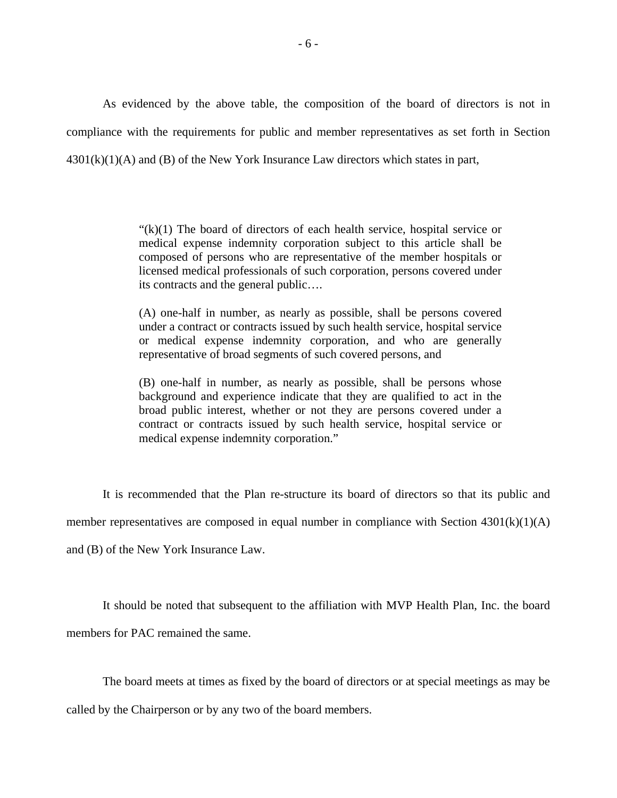As evidenced by the above table, the composition of the board of directors is not in compliance with the requirements for public and member representatives as set forth in Section  $4301(k)(1)(A)$  and (B) of the New York Insurance Law directors which states in part,

> $f(x)(1)$  The board of directors of each health service, hospital service or medical expense indemnity corporation subject to this article shall be composed of persons who are representative of the member hospitals or licensed medical professionals of such corporation, persons covered under its contracts and the general public….

> (A) one-half in number, as nearly as possible, shall be persons covered under a contract or contracts issued by such health service, hospital service or medical expense indemnity corporation, and who are generally representative of broad segments of such covered persons, and

> (B) one-half in number, as nearly as possible, shall be persons whose background and experience indicate that they are qualified to act in the broad public interest, whether or not they are persons covered under a contract or contracts issued by such health service, hospital service or medical expense indemnity corporation."

It is recommended that the Plan re-structure its board of directors so that its public and member representatives are composed in equal number in compliance with Section  $4301(k)(1)(A)$ and (B) of the New York Insurance Law.

It should be noted that subsequent to the affiliation with MVP Health Plan, Inc. the board members for PAC remained the same.

The board meets at times as fixed by the board of directors or at special meetings as may be called by the Chairperson or by any two of the board members.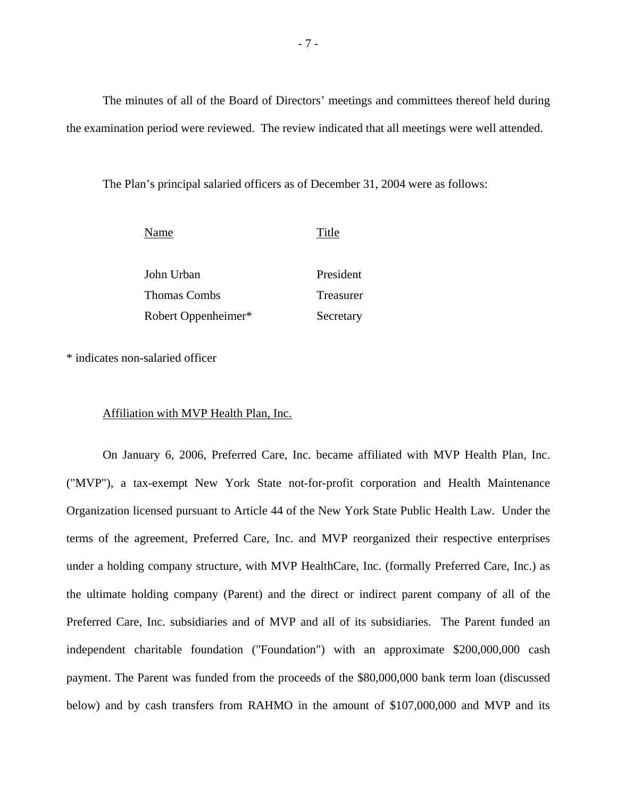The minutes of all of the Board of Directors' meetings and committees thereof held during the examination period were reviewed. The review indicated that all meetings were well attended.

The Plan's principal salaried officers as of December 31, 2004 were as follows:

| Name                | Title            |
|---------------------|------------------|
| John Urban          | President        |
| <b>Thomas Combs</b> | <b>Treasurer</b> |
| Robert Oppenheimer* | Secretary        |

\* indicates non-salaried officer

#### Affiliation with MVP Health Plan, Inc.

On January 6, 2006, Preferred Care, Inc. became affiliated with MVP Health Plan, Inc. ("MVP"), a tax-exempt New York State not-for-profit corporation and Health Maintenance Organization licensed pursuant to Article 44 of the New York State Public Health Law. Under the terms of the agreement, Preferred Care, Inc. and MVP reorganized their respective enterprises under a holding company structure, with MVP HealthCare, Inc. (formally Preferred Care, Inc.) as the ultimate holding company (Parent) and the direct or indirect parent company of all of the Preferred Care, Inc. subsidiaries and of MVP and all of its subsidiaries. The Parent funded an independent charitable foundation ("Foundation") with an approximate \$200,000,000 cash payment. The Parent was funded from the proceeds of the \$80,000,000 bank term loan (discussed below) and by cash transfers from RAHMO in the amount of \$107,000,000 and MVP and its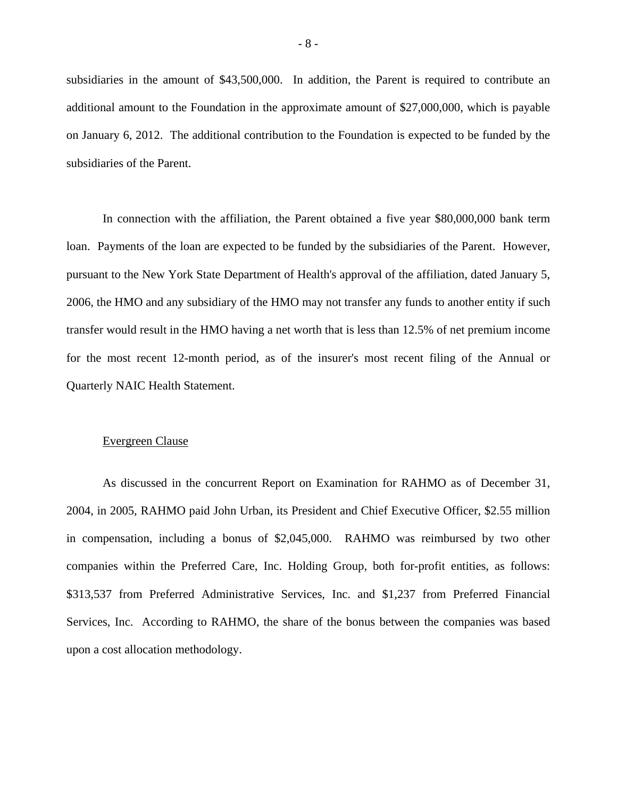subsidiaries in the amount of \$43,500,000. In addition, the Parent is required to contribute an additional amount to the Foundation in the approximate amount of \$27,000,000, which is payable on January 6, 2012. The additional contribution to the Foundation is expected to be funded by the subsidiaries of the Parent.

In connection with the affiliation, the Parent obtained a five year \$80,000,000 bank term loan. Payments of the loan are expected to be funded by the subsidiaries of the Parent. However, pursuant to the New York State Department of Health's approval of the affiliation, dated January 5, 2006, the HMO and any subsidiary of the HMO may not transfer any funds to another entity if such transfer would result in the HMO having a net worth that is less than 12.5% of net premium income for the most recent 12-month period, as of the insurer's most recent filing of the Annual or Quarterly NAIC Health Statement.

#### Evergreen Clause

As discussed in the concurrent Report on Examination for RAHMO as of December 31, 2004, in 2005, RAHMO paid John Urban, its President and Chief Executive Officer, \$2.55 million in compensation, including a bonus of \$2,045,000. RAHMO was reimbursed by two other companies within the Preferred Care, Inc. Holding Group, both for-profit entities, as follows: \$313,537 from Preferred Administrative Services, Inc. and \$1,237 from Preferred Financial Services, Inc. According to RAHMO, the share of the bonus between the companies was based upon a cost allocation methodology.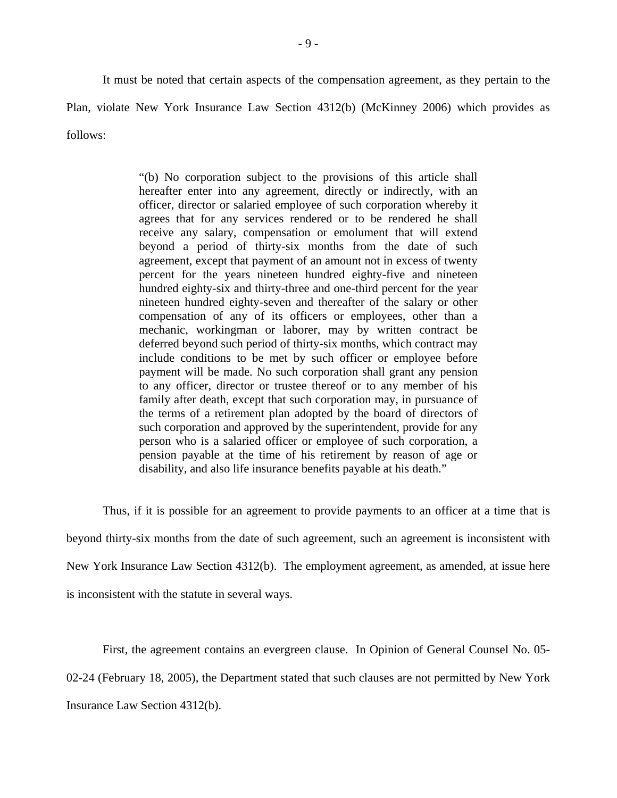It must be noted that certain aspects of the compensation agreement, as they pertain to the Plan, violate New York Insurance Law Section 4312(b) (McKinney 2006) which provides as follows:

> "(b) No corporation subject to the provisions of this article shall hereafter enter into any agreement, directly or indirectly, with an officer, director or salaried employee of such corporation whereby it agrees that for any services rendered or to be rendered he shall receive any salary, compensation or emolument that will extend beyond a period of thirty-six months from the date of such agreement, except that payment of an amount not in excess of twenty percent for the years nineteen hundred eighty-five and nineteen hundred eighty-six and thirty-three and one-third percent for the year nineteen hundred eighty-seven and thereafter of the salary or other compensation of any of its officers or employees, other than a mechanic, workingman or laborer, may by written contract be deferred beyond such period of thirty-six months, which contract may include conditions to be met by such officer or employee before payment will be made. No such corporation shall grant any pension to any officer, director or trustee thereof or to any member of his family after death, except that such corporation may, in pursuance of the terms of a retirement plan adopted by the board of directors of such corporation and approved by the superintendent, provide for any person who is a salaried officer or employee of such corporation, a pension payable at the time of his retirement by reason of age or disability, and also life insurance benefits payable at his death."

Thus, if it is possible for an agreement to provide payments to an officer at a time that is

beyond thirty-six months from the date of such agreement, such an agreement is inconsistent with

New York Insurance Law Section 4312(b). The employment agreement, as amended, at issue here

is inconsistent with the statute in several ways.

First, the agreement contains an evergreen clause. In Opinion of General Counsel No. 05-

02-24 (February 18, 2005), the Department stated that such clauses are not permitted by New York

Insurance Law Section 4312(b).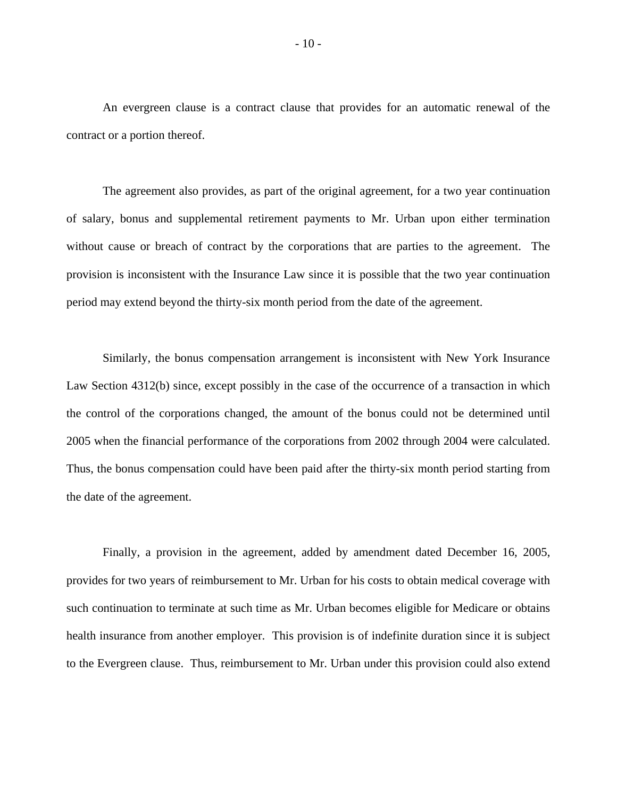An evergreen clause is a contract clause that provides for an automatic renewal of the contract or a portion thereof.

The agreement also provides, as part of the original agreement, for a two year continuation of salary, bonus and supplemental retirement payments to Mr. Urban upon either termination without cause or breach of contract by the corporations that are parties to the agreement. The provision is inconsistent with the Insurance Law since it is possible that the two year continuation period may extend beyond the thirty-six month period from the date of the agreement.

Similarly, the bonus compensation arrangement is inconsistent with New York Insurance Law Section 4312(b) since, except possibly in the case of the occurrence of a transaction in which the control of the corporations changed, the amount of the bonus could not be determined until 2005 when the financial performance of the corporations from 2002 through 2004 were calculated. Thus, the bonus compensation could have been paid after the thirty-six month period starting from the date of the agreement.

Finally, a provision in the agreement, added by amendment dated December 16, 2005, provides for two years of reimbursement to Mr. Urban for his costs to obtain medical coverage with such continuation to terminate at such time as Mr. Urban becomes eligible for Medicare or obtains health insurance from another employer. This provision is of indefinite duration since it is subject to the Evergreen clause. Thus, reimbursement to Mr. Urban under this provision could also extend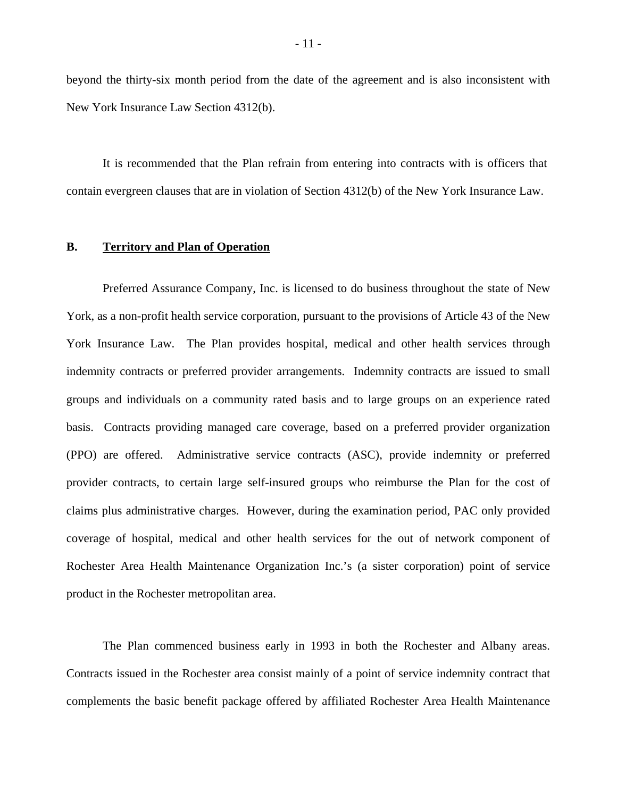beyond the thirty-six month period from the date of the agreement and is also inconsistent with New York Insurance Law Section 4312(b).

It is recommended that the Plan refrain from entering into contracts with is officers that contain evergreen clauses that are in violation of Section 4312(b) of the New York Insurance Law.

#### **B. Territory and Plan of Operation**

Preferred Assurance Company, Inc. is licensed to do business throughout the state of New York, as a non-profit health service corporation, pursuant to the provisions of Article 43 of the New York Insurance Law. The Plan provides hospital, medical and other health services through indemnity contracts or preferred provider arrangements. Indemnity contracts are issued to small groups and individuals on a community rated basis and to large groups on an experience rated basis. Contracts providing managed care coverage, based on a preferred provider organization (PPO) are offered. Administrative service contracts (ASC), provide indemnity or preferred provider contracts, to certain large self-insured groups who reimburse the Plan for the cost of claims plus administrative charges. However, during the examination period, PAC only provided coverage of hospital, medical and other health services for the out of network component of Rochester Area Health Maintenance Organization Inc.'s (a sister corporation) point of service product in the Rochester metropolitan area.

The Plan commenced business early in 1993 in both the Rochester and Albany areas. Contracts issued in the Rochester area consist mainly of a point of service indemnity contract that complements the basic benefit package offered by affiliated Rochester Area Health Maintenance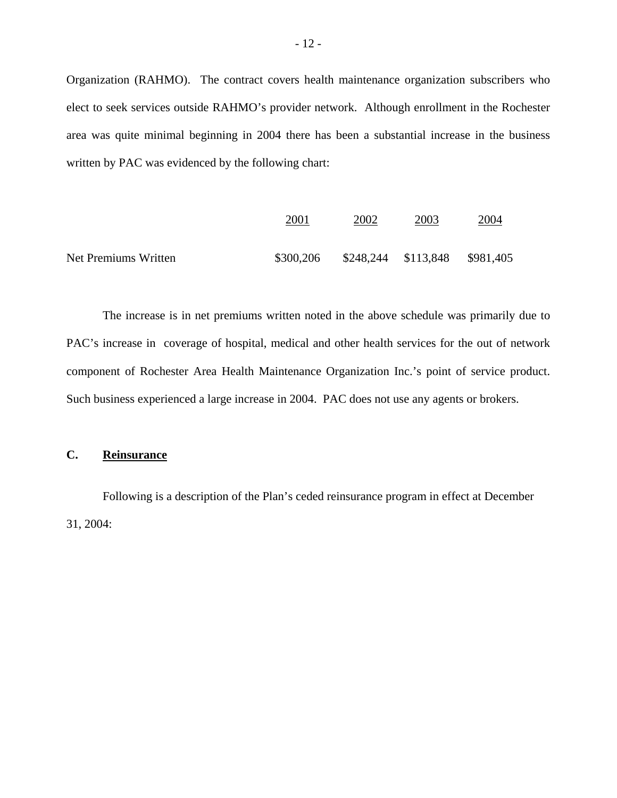Organization (RAHMO). The contract covers health maintenance organization subscribers who elect to seek services outside RAHMO's provider network. Although enrollment in the Rochester area was quite minimal beginning in 2004 there has been a substantial increase in the business written by PAC was evidenced by the following chart:

|                      | 2001      | 2002 | 2003                | 2004      |
|----------------------|-----------|------|---------------------|-----------|
| Net Premiums Written | \$300,206 |      | \$248,244 \$113,848 | \$981,405 |

The increase is in net premiums written noted in the above schedule was primarily due to PAC's increase in coverage of hospital, medical and other health services for the out of network component of Rochester Area Health Maintenance Organization Inc.'s point of service product. Such business experienced a large increase in 2004. PAC does not use any agents or brokers.

#### **C. Reinsurance**

Following is a description of the Plan's ceded reinsurance program in effect at December 31, 2004: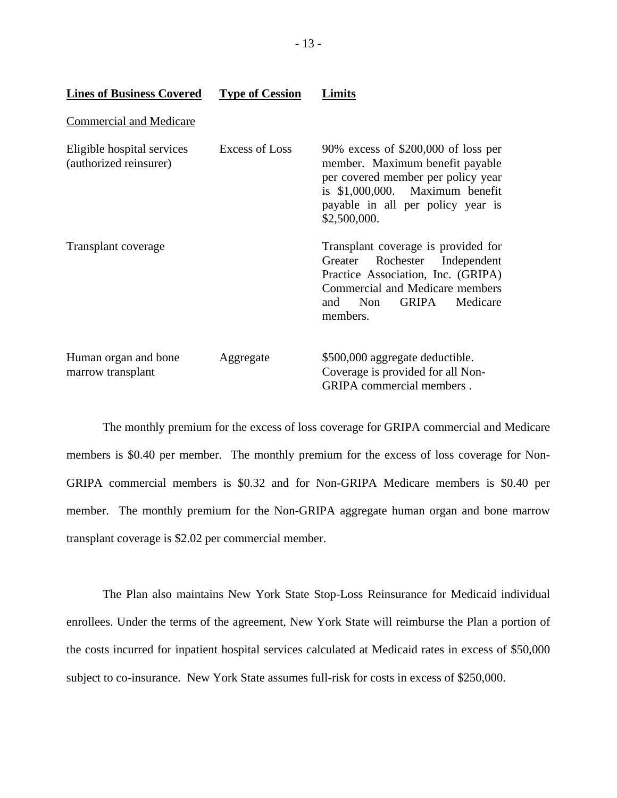| <b>Lines of Business Covered</b>                     | <b>Type of Cession</b> | Limits                                                                                                                                                                                                           |
|------------------------------------------------------|------------------------|------------------------------------------------------------------------------------------------------------------------------------------------------------------------------------------------------------------|
| Commercial and Medicare                              |                        |                                                                                                                                                                                                                  |
| Eligible hospital services<br>(authorized reinsurer) | Excess of Loss         | 90% excess of $$200,000$ of loss per<br>member. Maximum benefit payable<br>per covered member per policy year<br>is $$1,000,000$ . Maximum benefit<br>payable in all per policy year is<br>\$2,500,000.          |
| Transplant coverage                                  |                        | Transplant coverage is provided for<br>Independent<br>Rochester<br>Greater<br>Practice Association, Inc. (GRIPA)<br>Commercial and Medicare members<br><b>GRIPA</b><br>Medicare<br>and<br><b>Non</b><br>members. |
| Human organ and bone<br>marrow transplant            | Aggregate              | \$500,000 aggregate deductible.<br>Coverage is provided for all Non-<br><b>GRIPA</b> commercial members.                                                                                                         |

The monthly premium for the excess of loss coverage for GRIPA commercial and Medicare members is \$0.40 per member. The monthly premium for the excess of loss coverage for Non-GRIPA commercial members is \$0.32 and for Non-GRIPA Medicare members is \$0.40 per member. The monthly premium for the Non-GRIPA aggregate human organ and bone marrow transplant coverage is \$2.02 per commercial member.

The Plan also maintains New York State Stop-Loss Reinsurance for Medicaid individual enrollees. Under the terms of the agreement, New York State will reimburse the Plan a portion of the costs incurred for inpatient hospital services calculated at Medicaid rates in excess of \$50,000 subject to co-insurance. New York State assumes full-risk for costs in excess of \$250,000.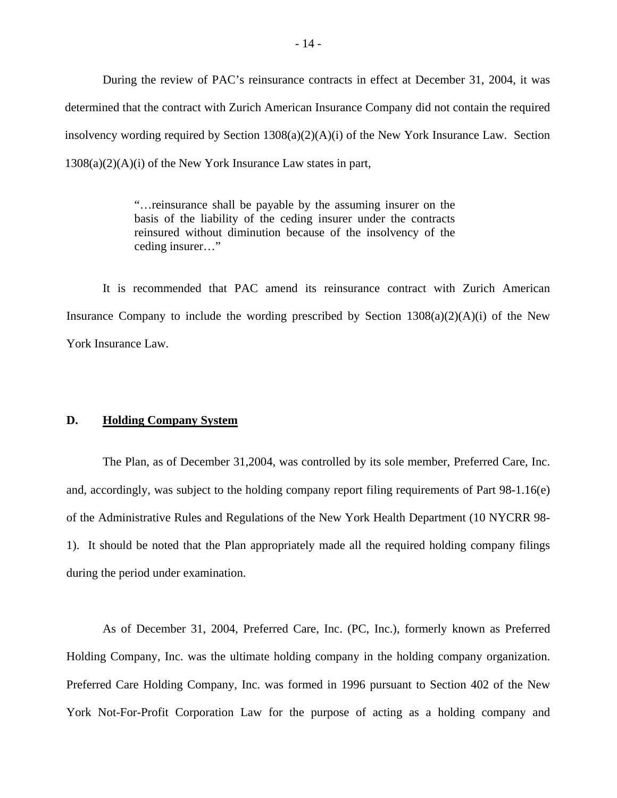During the review of PAC's reinsurance contracts in effect at December 31, 2004, it was determined that the contract with Zurich American Insurance Company did not contain the required insolvency wording required by Section 1308(a)(2)(A)(i) of the New York Insurance Law. Section  $1308(a)(2)(A)(i)$  of the New York Insurance Law states in part,

> "…reinsurance shall be payable by the assuming insurer on the basis of the liability of the ceding insurer under the contracts reinsured without diminution because of the insolvency of the ceding insurer…"

It is recommended that PAC amend its reinsurance contract with Zurich American Insurance Company to include the wording prescribed by Section  $1308(a)(2)(A)(i)$  of the New York Insurance Law.

#### **D. Holding Company System**

The Plan, as of December 31,2004, was controlled by its sole member, Preferred Care, Inc. and, accordingly, was subject to the holding company report filing requirements of Part 98-1.16(e) of the Administrative Rules and Regulations of the New York Health Department (10 NYCRR 98- 1). It should be noted that the Plan appropriately made all the required holding company filings during the period under examination.

As of December 31, 2004, Preferred Care, Inc. (PC, Inc.), formerly known as Preferred Holding Company, Inc. was the ultimate holding company in the holding company organization. Preferred Care Holding Company, Inc. was formed in 1996 pursuant to Section 402 of the New York Not-For-Profit Corporation Law for the purpose of acting as a holding company and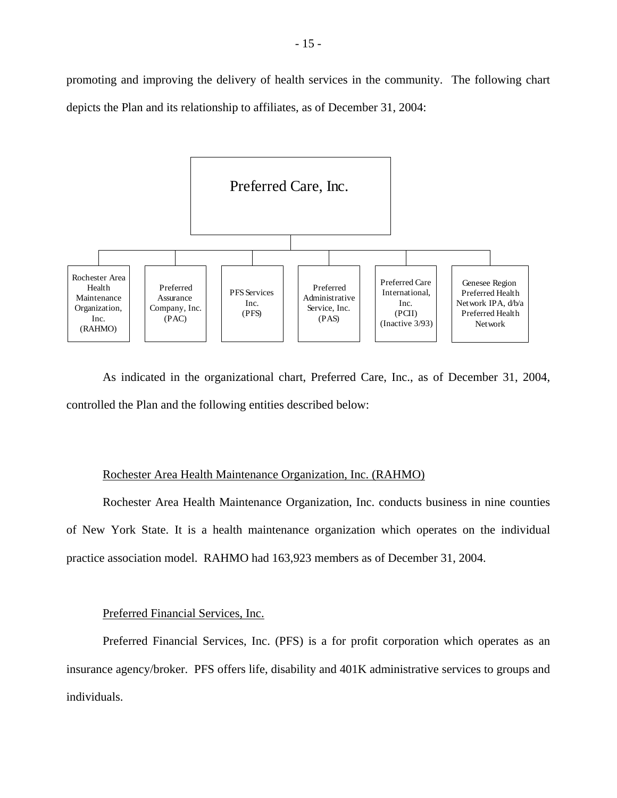promoting and improving the delivery of health services in the community. The following chart depicts the Plan and its relationship to affiliates, as of December 31, 2004:



As indicated in the organizational chart, Preferred Care, Inc., as of December 31, 2004, controlled the Plan and the following entities described below:

#### Rochester Area Health Maintenance Organization, Inc. (RAHMO)

Rochester Area Health Maintenance Organization, Inc. conducts business in nine counties of New York State. It is a health maintenance organization which operates on the individual practice association model. RAHMO had 163,923 members as of December 31, 2004.

#### Preferred Financial Services, Inc.

Preferred Financial Services, Inc. (PFS) is a for profit corporation which operates as an insurance agency/broker. PFS offers life, disability and 401K administrative services to groups and individuals.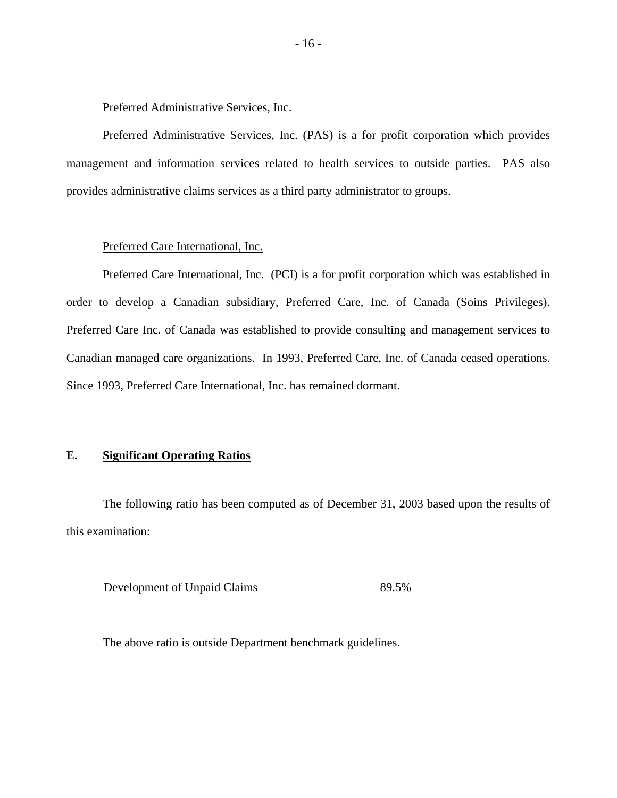#### Preferred Administrative Services, Inc.

Preferred Administrative Services, Inc. (PAS) is a for profit corporation which provides management and information services related to health services to outside parties. PAS also provides administrative claims services as a third party administrator to groups.

#### Preferred Care International, Inc.

Preferred Care International, Inc. (PCI) is a for profit corporation which was established in order to develop a Canadian subsidiary, Preferred Care, Inc. of Canada (Soins Privileges). Preferred Care Inc. of Canada was established to provide consulting and management services to Canadian managed care organizations. In 1993, Preferred Care, Inc. of Canada ceased operations. Since 1993, Preferred Care International, Inc. has remained dormant.

#### **E. Significant Operating Ratios**

The following ratio has been computed as of December 31, 2003 based upon the results of this examination:

Development of Unpaid Claims 89.5%

The above ratio is outside Department benchmark guidelines.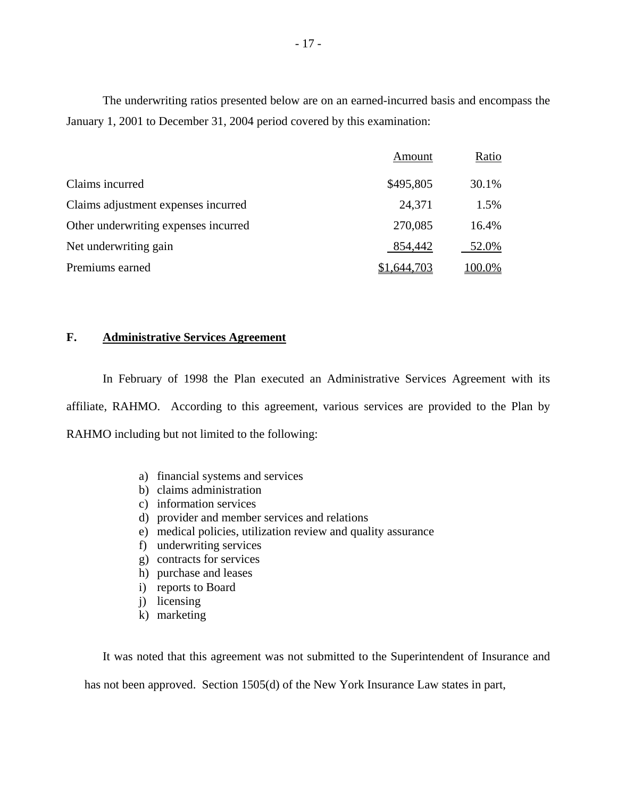The underwriting ratios presented below are on an earned-incurred basis and encompass the January 1, 2001 to December 31, 2004 period covered by this examination:

|                                      | Amount      | Ratio  |
|--------------------------------------|-------------|--------|
| Claims incurred                      | \$495,805   | 30.1%  |
| Claims adjustment expenses incurred  | 24,371      | 1.5%   |
| Other underwriting expenses incurred | 270,085     | 16.4%  |
| Net underwriting gain                | 854,442     | 52.0%  |
| Premiums earned                      | \$1,644,703 | 100.0% |

#### **F. Administrative Services Agreement**

In February of 1998 the Plan executed an Administrative Services Agreement with its affiliate, RAHMO. According to this agreement, various services are provided to the Plan by RAHMO including but not limited to the following:

- a) financial systems and services
- b) claims administration
- c) information services
- d) provider and member services and relations
- e) medical policies, utilization review and quality assurance
- f) underwriting services
- g) contracts for services
- h) purchase and leases
- i) reports to Board
- j) licensing
- k) marketing

It was noted that this agreement was not submitted to the Superintendent of Insurance and

has not been approved. Section 1505(d) of the New York Insurance Law states in part,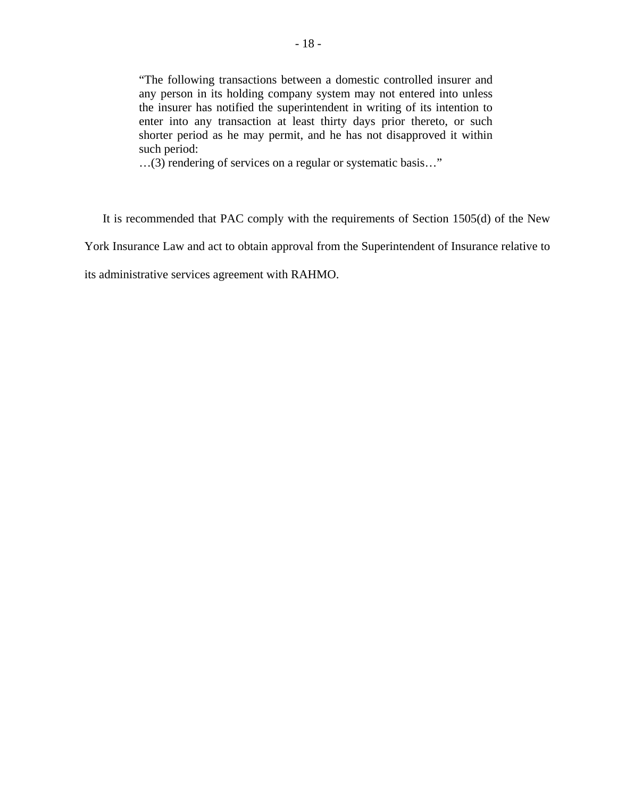"The following transactions between a domestic controlled insurer and any person in its holding company system may not entered into unless the insurer has notified the superintendent in writing of its intention to enter into any transaction at least thirty days prior thereto, or such shorter period as he may permit, and he has not disapproved it within such period:

…(3) rendering of services on a regular or systematic basis…"

It is recommended that PAC comply with the requirements of Section 1505(d) of the New York Insurance Law and act to obtain approval from the Superintendent of Insurance relative to its administrative services agreement with RAHMO.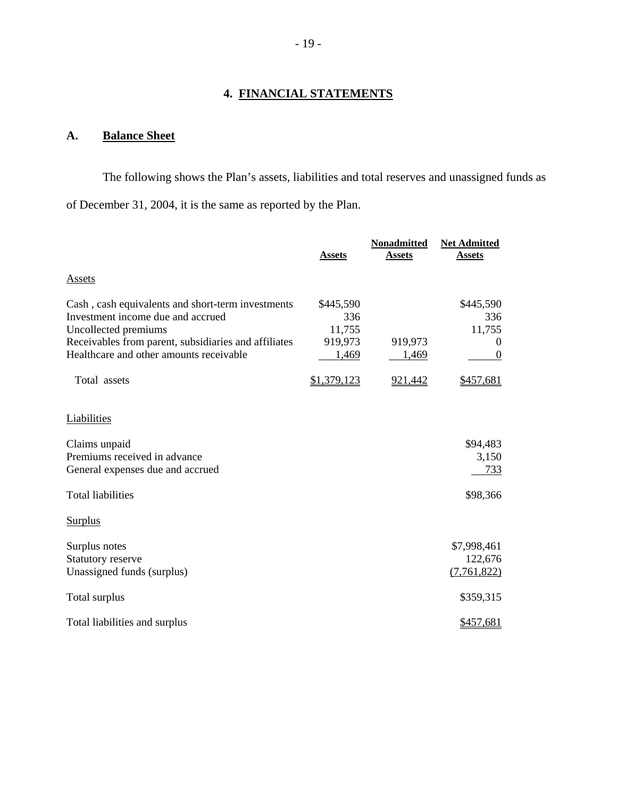## **4. FINANCIAL STATEMENTS**

## **A. Balance Sheet**

The following shows the Plan's assets, liabilities and total reserves and unassigned funds as of December 31, 2004, it is the same as reported by the Plan.

|                                                                                                                                                                                                                   | <b>Assets</b>                                  | Nonadmitted<br><b>Assets</b> | <b>Net Admitted</b><br><b>Assets</b>                       |
|-------------------------------------------------------------------------------------------------------------------------------------------------------------------------------------------------------------------|------------------------------------------------|------------------------------|------------------------------------------------------------|
| <b>Assets</b>                                                                                                                                                                                                     |                                                |                              |                                                            |
| Cash, cash equivalents and short-term investments<br>Investment income due and accrued<br>Uncollected premiums<br>Receivables from parent, subsidiaries and affiliates<br>Healthcare and other amounts receivable | \$445,590<br>336<br>11,755<br>919,973<br>1,469 | 919,973<br>1,469             | \$445,590<br>336<br>11,755<br>$\theta$<br>$\boldsymbol{0}$ |
| Total assets                                                                                                                                                                                                      | \$1,379,123                                    | <u>921,442</u>               | \$457,681                                                  |
| Liabilities<br>Claims unpaid<br>Premiums received in advance<br>General expenses due and accrued                                                                                                                  |                                                |                              | \$94,483<br>3,150<br>733                                   |
| <b>Total liabilities</b>                                                                                                                                                                                          |                                                |                              | \$98,366                                                   |
| <b>Surplus</b>                                                                                                                                                                                                    |                                                |                              |                                                            |
| Surplus notes<br>Statutory reserve<br>Unassigned funds (surplus)                                                                                                                                                  |                                                |                              | \$7,998,461<br>122,676<br>(7,761,822)                      |
| Total surplus                                                                                                                                                                                                     |                                                |                              | \$359,315                                                  |
| Total liabilities and surplus                                                                                                                                                                                     |                                                |                              | \$457,681                                                  |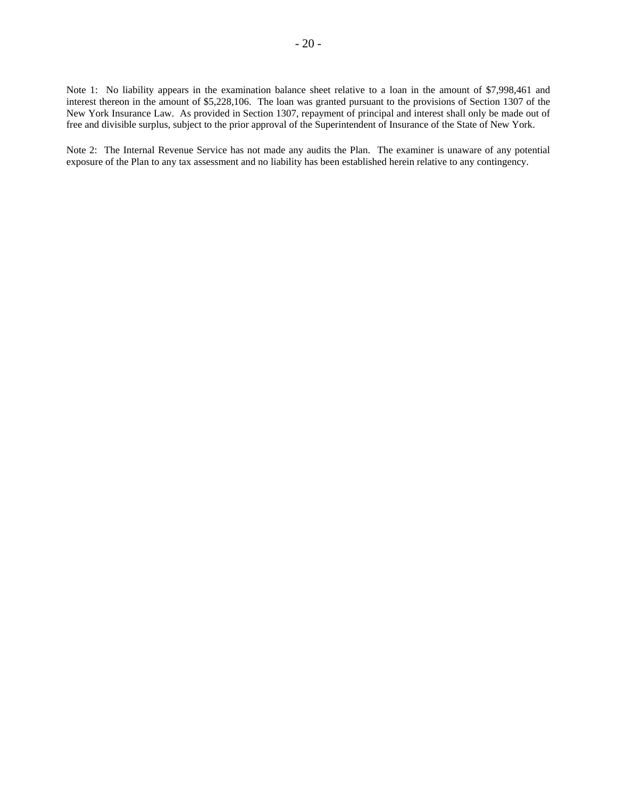Note 1: No liability appears in the examination balance sheet relative to a loan in the amount of \$7,998,461 and interest thereon in the amount of \$5,228,106. The loan was granted pursuant to the provisions of Section 1307 of the New York Insurance Law. As provided in Section 1307, repayment of principal and interest shall only be made out of free and divisible surplus, subject to the prior approval of the Superintendent of Insurance of the State of New York.

 exposure of the Plan to any tax assessment and no liability has been established herein relative to any contingency. Note 2: The Internal Revenue Service has not made any audits the Plan. The examiner is unaware of any potential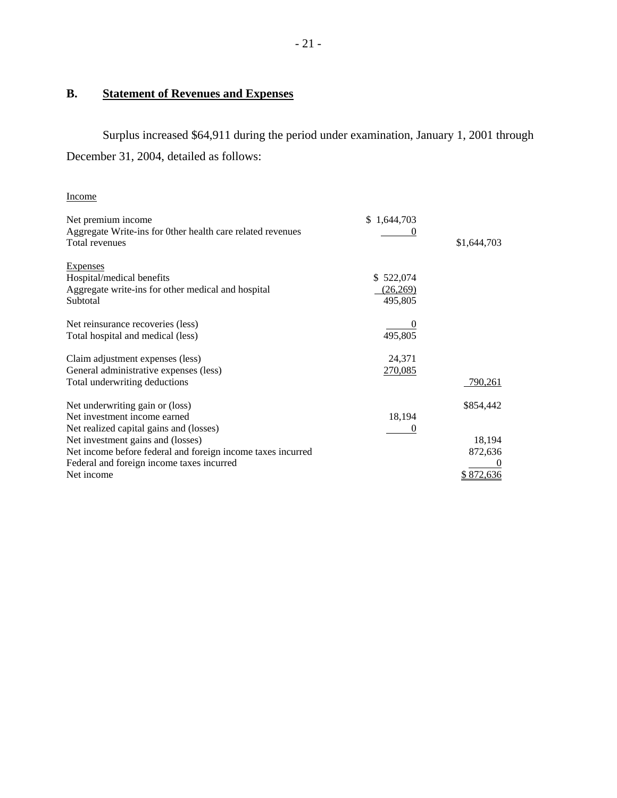## **B. Statement of Revenues and Expenses**

Surplus increased \$64,911 during the period under examination, January 1, 2001 through December 31, 2004, detailed as follows:

| Income                                                                                                                                        |                                  |                   |
|-----------------------------------------------------------------------------------------------------------------------------------------------|----------------------------------|-------------------|
| Net premium income<br>Aggregate Write-ins for 0ther health care related revenues<br>Total revenues                                            | \$1,644,703                      | \$1,644,703       |
| Expenses<br>Hospital/medical benefits<br>Aggregate write-ins for other medical and hospital<br>Subtotal                                       | \$522,074<br>(26,269)<br>495,805 |                   |
| Net reinsurance recoveries (less)<br>Total hospital and medical (less)                                                                        | 495,805                          |                   |
| Claim adjustment expenses (less)<br>General administrative expenses (less)<br>Total underwriting deductions                                   | 24,371<br>270,085                | <u>790,261</u>    |
| Net underwriting gain or (loss)<br>Net investment income earned<br>Net realized capital gains and (losses)                                    | 18,194                           | \$854,442         |
| Net investment gains and (losses)<br>Net income before federal and foreign income taxes incurred<br>Federal and foreign income taxes incurred |                                  | 18,194<br>872,636 |
| Net income                                                                                                                                    |                                  | \$872,636         |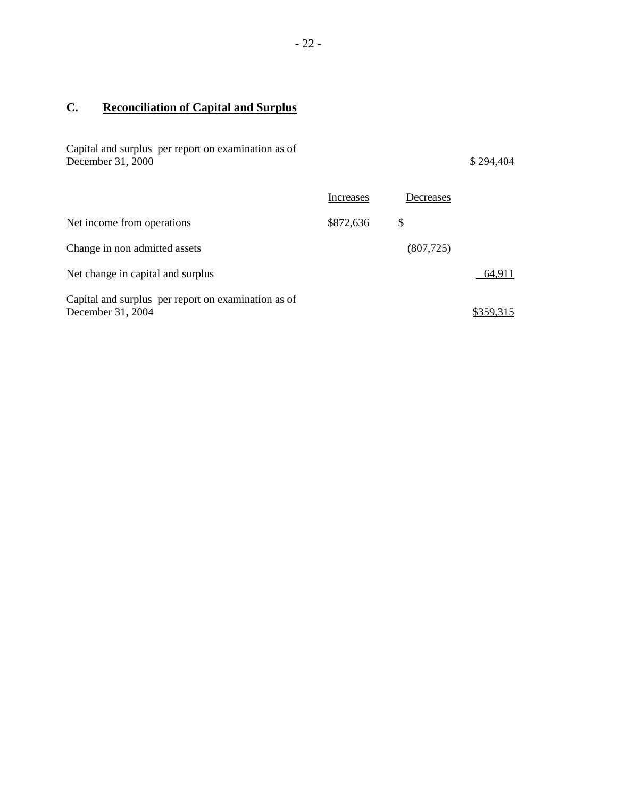## **C. Reconciliation of Capital and Surplus**

Capital and surplus per report on examination as of December 31, 2000 \$ 294,404

|                                                                          | Increases | Decreases |           |
|--------------------------------------------------------------------------|-----------|-----------|-----------|
| Net income from operations.                                              | \$872,636 | S         |           |
| Change in non admitted assets                                            |           | (807,725) |           |
| Net change in capital and surplus                                        |           |           | 64.911    |
| Capital and surplus per report on examination as of<br>December 31, 2004 |           |           | \$359,315 |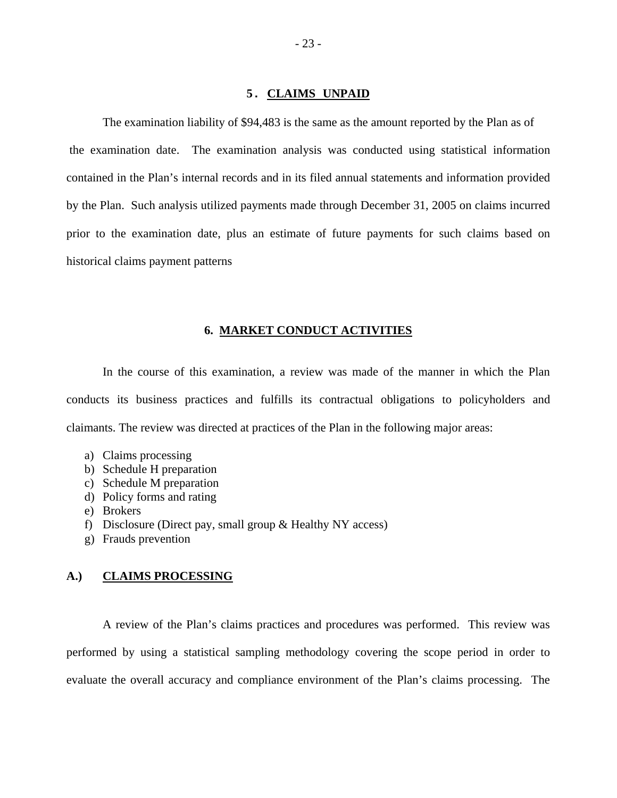#### **5. CLAIMS UNPAID**

The examination liability of \$94,483 is the same as the amount reported by the Plan as of the examination date. The examination analysis was conducted using statistical information contained in the Plan's internal records and in its filed annual statements and information provided by the Plan. Such analysis utilized payments made through December 31, 2005 on claims incurred prior to the examination date, plus an estimate of future payments for such claims based on historical claims payment patterns

#### **6. MARKET CONDUCT ACTIVITIES**

In the course of this examination, a review was made of the manner in which the Plan conducts its business practices and fulfills its contractual obligations to policyholders and claimants. The review was directed at practices of the Plan in the following major areas:

- a) Claims processing
- b) Schedule H preparation
- c) Schedule M preparation
- d) Policy forms and rating
- e) Brokers
- f) Disclosure (Direct pay, small group & Healthy NY access)
- g) Frauds prevention

#### **A.) CLAIMS PROCESSING**

A review of the Plan's claims practices and procedures was performed. This review was performed by using a statistical sampling methodology covering the scope period in order to evaluate the overall accuracy and compliance environment of the Plan's claims processing. The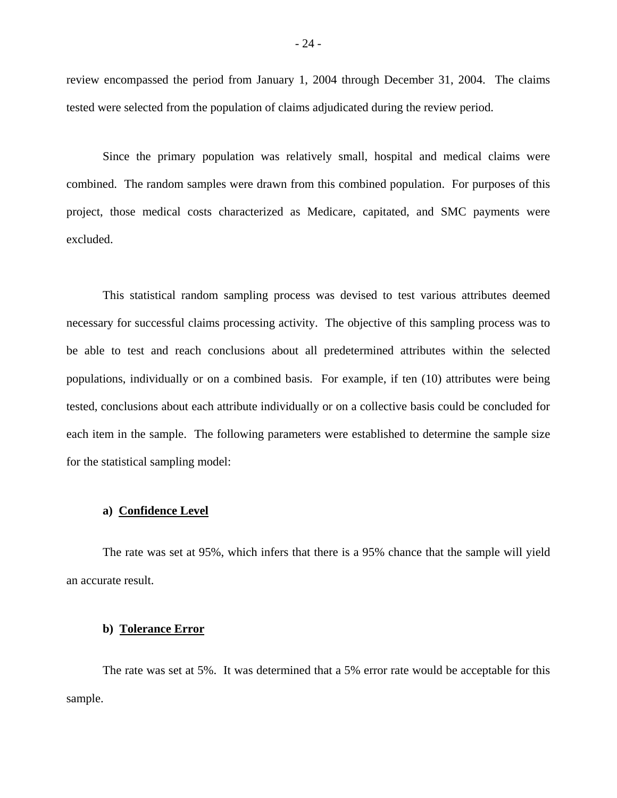review encompassed the period from January 1, 2004 through December 31, 2004. The claims tested were selected from the population of claims adjudicated during the review period.

Since the primary population was relatively small, hospital and medical claims were combined. The random samples were drawn from this combined population. For purposes of this project, those medical costs characterized as Medicare, capitated, and SMC payments were excluded.

This statistical random sampling process was devised to test various attributes deemed necessary for successful claims processing activity. The objective of this sampling process was to be able to test and reach conclusions about all predetermined attributes within the selected populations, individually or on a combined basis. For example, if ten (10) attributes were being tested, conclusions about each attribute individually or on a collective basis could be concluded for each item in the sample. The following parameters were established to determine the sample size for the statistical sampling model:

#### **a) Confidence Level**

The rate was set at 95%, which infers that there is a 95% chance that the sample will yield an accurate result.

#### **b) Tolerance Error**

The rate was set at 5%. It was determined that a 5% error rate would be acceptable for this sample.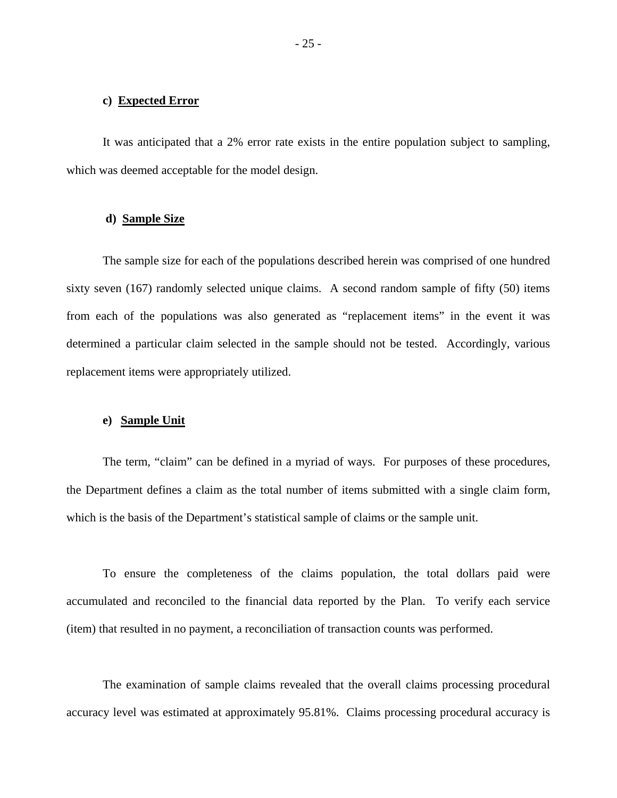#### **c) Expected Error**

It was anticipated that a 2% error rate exists in the entire population subject to sampling, which was deemed acceptable for the model design.

#### **d) Sample Size**

The sample size for each of the populations described herein was comprised of one hundred sixty seven (167) randomly selected unique claims. A second random sample of fifty (50) items from each of the populations was also generated as "replacement items" in the event it was determined a particular claim selected in the sample should not be tested. Accordingly, various replacement items were appropriately utilized.

#### **e) Sample Unit**

The term, "claim" can be defined in a myriad of ways. For purposes of these procedures, the Department defines a claim as the total number of items submitted with a single claim form, which is the basis of the Department's statistical sample of claims or the sample unit.

To ensure the completeness of the claims population, the total dollars paid were accumulated and reconciled to the financial data reported by the Plan. To verify each service (item) that resulted in no payment, a reconciliation of transaction counts was performed.

The examination of sample claims revealed that the overall claims processing procedural accuracy level was estimated at approximately 95.81%. Claims processing procedural accuracy is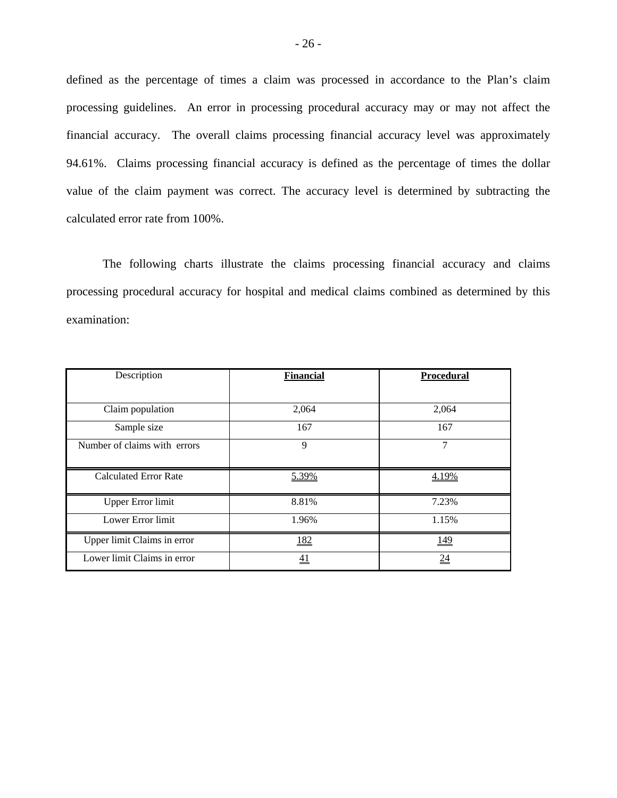defined as the percentage of times a claim was processed in accordance to the Plan's claim processing guidelines. An error in processing procedural accuracy may or may not affect the financial accuracy. The overall claims processing financial accuracy level was approximately 94.61%. Claims processing financial accuracy is defined as the percentage of times the dollar value of the claim payment was correct. The accuracy level is determined by subtracting the calculated error rate from 100%.

The following charts illustrate the claims processing financial accuracy and claims processing procedural accuracy for hospital and medical claims combined as determined by this examination:

| Description                  | <b>Financial</b>           | Procedural |
|------------------------------|----------------------------|------------|
| Claim population             | 2,064                      | 2,064      |
| Sample size                  | 167                        | 167        |
| Number of claims with errors | 9                          | 7          |
| <b>Calculated Error Rate</b> | 5.39%                      | 4.19%      |
| <b>Upper Error limit</b>     | 8.81%                      | 7.23%      |
| Lower Error limit            | 1.96%                      | 1.15%      |
| Upper limit Claims in error  | 182                        | 149        |
| Lower limit Claims in error  | $\overline{\overline{41}}$ | 24         |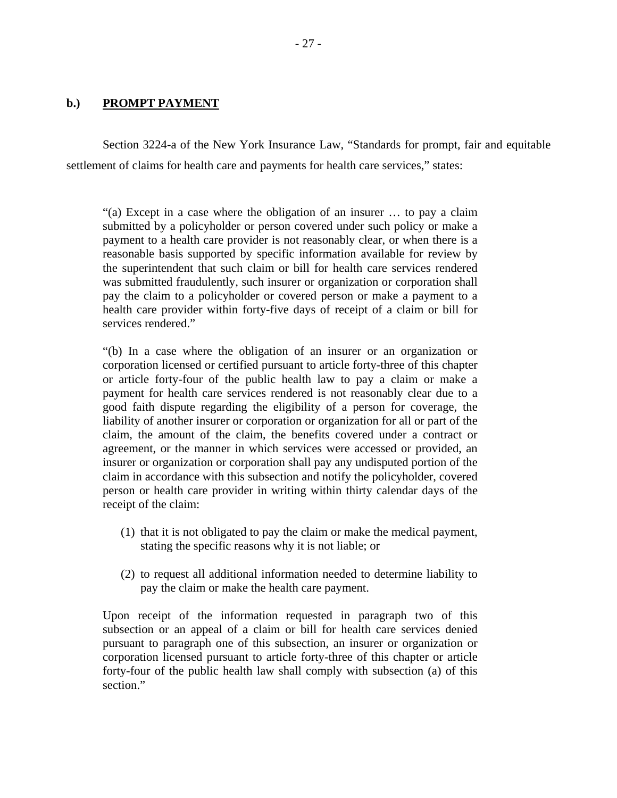#### **b.) PROMPT PAYMENT**

Section 3224-a of the New York Insurance Law, "Standards for prompt, fair and equitable settlement of claims for health care and payments for health care services," states:

"(a) Except in a case where the obligation of an insurer … to pay a claim submitted by a policyholder or person covered under such policy or make a payment to a health care provider is not reasonably clear, or when there is a reasonable basis supported by specific information available for review by the superintendent that such claim or bill for health care services rendered was submitted fraudulently, such insurer or organization or corporation shall pay the claim to a policyholder or covered person or make a payment to a health care provider within forty-five days of receipt of a claim or bill for services rendered."

"(b) In a case where the obligation of an insurer or an organization or corporation licensed or certified pursuant to article forty-three of this chapter or article forty-four of the public health law to pay a claim or make a payment for health care services rendered is not reasonably clear due to a good faith dispute regarding the eligibility of a person for coverage, the liability of another insurer or corporation or organization for all or part of the claim, the amount of the claim, the benefits covered under a contract or agreement, or the manner in which services were accessed or provided, an insurer or organization or corporation shall pay any undisputed portion of the claim in accordance with this subsection and notify the policyholder, covered person or health care provider in writing within thirty calendar days of the receipt of the claim:

- (1) that it is not obligated to pay the claim or make the medical payment, stating the specific reasons why it is not liable; or
- (2) to request all additional information needed to determine liability to pay the claim or make the health care payment.

Upon receipt of the information requested in paragraph two of this subsection or an appeal of a claim or bill for health care services denied pursuant to paragraph one of this subsection, an insurer or organization or corporation licensed pursuant to article forty-three of this chapter or article forty-four of the public health law shall comply with subsection (a) of this section."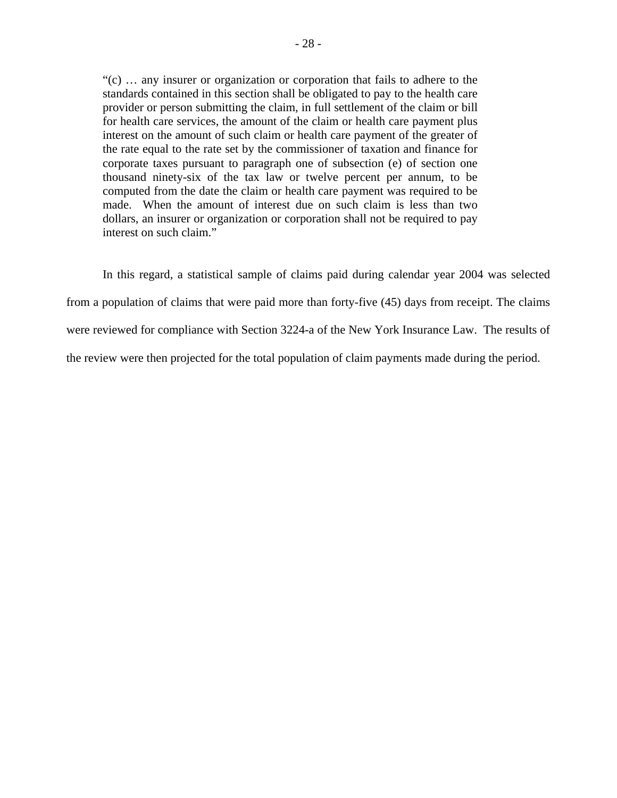"(c) … any insurer or organization or corporation that fails to adhere to the standards contained in this section shall be obligated to pay to the health care provider or person submitting the claim, in full settlement of the claim or bill for health care services, the amount of the claim or health care payment plus interest on the amount of such claim or health care payment of the greater of the rate equal to the rate set by the commissioner of taxation and finance for corporate taxes pursuant to paragraph one of subsection (e) of section one thousand ninety-six of the tax law or twelve percent per annum, to be computed from the date the claim or health care payment was required to be made. When the amount of interest due on such claim is less than two dollars, an insurer or organization or corporation shall not be required to pay interest on such claim."

In this regard, a statistical sample of claims paid during calendar year 2004 was selected from a population of claims that were paid more than forty-five (45) days from receipt. The claims were reviewed for compliance with Section 3224-a of the New York Insurance Law. The results of the review were then projected for the total population of claim payments made during the period.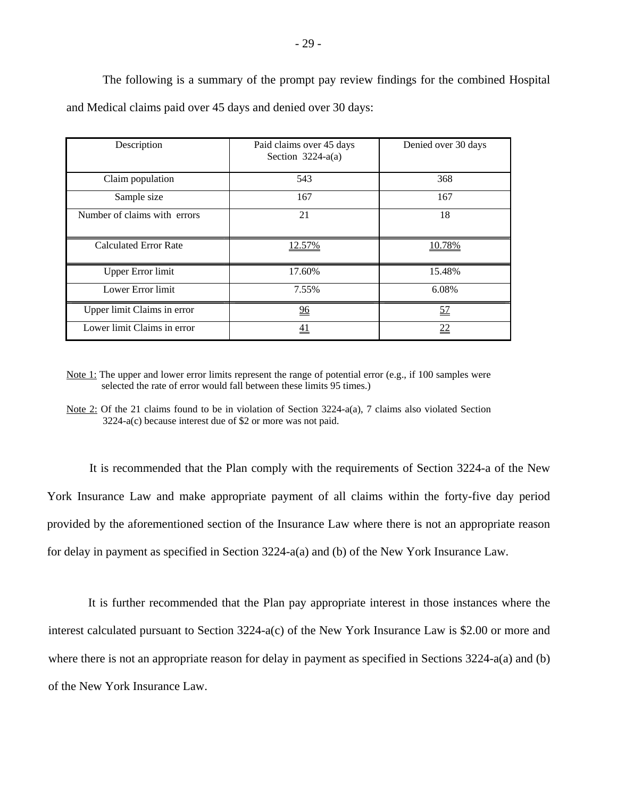The following is a summary of the prompt pay review findings for the combined Hospital and Medical claims paid over 45 days and denied over 30 days:

| Description                  | Paid claims over 45 days<br>Section $3224-a(a)$ | Denied over 30 days |
|------------------------------|-------------------------------------------------|---------------------|
| Claim population             | 543                                             | 368                 |
| Sample size                  | 167                                             | 167                 |
| Number of claims with errors | 21                                              | 18                  |
| <b>Calculated Error Rate</b> | 12.57%                                          | 10.78%              |
| <b>Upper Error limit</b>     | 17.60%                                          | 15.48%              |
| Lower Error limit            | 7.55%                                           | 6.08%               |
| Upper limit Claims in error  | $\frac{96}{9}$                                  | 57                  |
| Lower limit Claims in error  | $\overline{\overline{41}}$                      | $\underline{22}$    |

 selected the rate of error would fall between these limits 95 times.) Note 1: The upper and lower error limits represent the range of potential error (e.g., if 100 samples were

Note 2: Of the 21 claims found to be in violation of Section 3224-a(a), 7 claims also violated Section 3224-a(c) because interest due of \$2 or more was not paid.

It is recommended that the Plan comply with the requirements of Section 3224-a of the New York Insurance Law and make appropriate payment of all claims within the forty-five day period provided by the aforementioned section of the Insurance Law where there is not an appropriate reason for delay in payment as specified in Section 3224-a(a) and (b) of the New York Insurance Law.

It is further recommended that the Plan pay appropriate interest in those instances where the interest calculated pursuant to Section 3224-a(c) of the New York Insurance Law is \$2.00 or more and where there is not an appropriate reason for delay in payment as specified in Sections 3224-a(a) and (b) of the New York Insurance Law.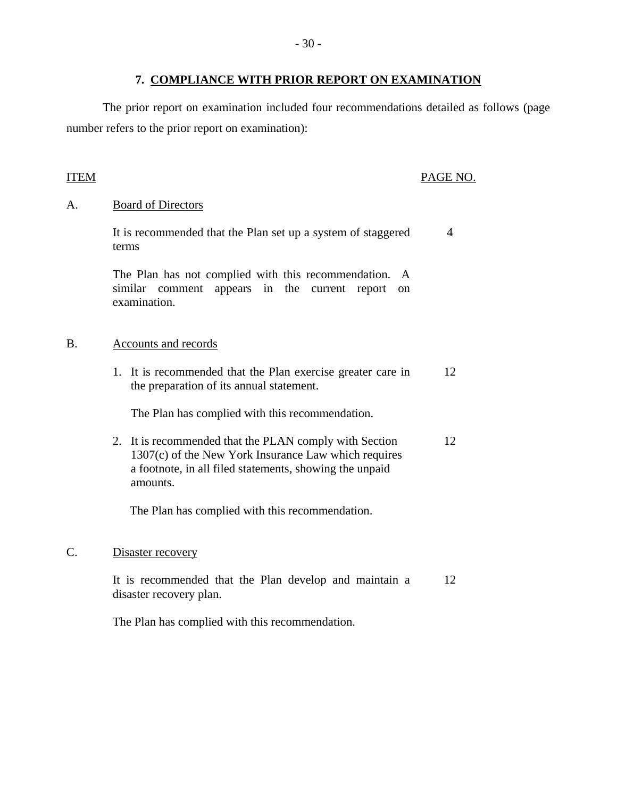#### **7. COMPLIANCE WITH PRIOR REPORT ON EXAMINATION**

The prior report on examination included four recommendations detailed as follows (page number refers to the prior report on examination):

#### **ITEM**

#### PAGE NO.

#### A. Board of Directors

It is recommended that the Plan set up a system of staggered 4 terms

The Plan has not complied with this recommendation. A similar comment appears in the current report on examination.

#### B. Accounts and records

1. It is recommended that the Plan exercise greater care in 12 the preparation of its annual statement.

The Plan has complied with this recommendation.

2. It is recommended that the PLAN comply with Section 12 1307(c) of the New York Insurance Law which requires a footnote, in all filed statements, showing the unpaid amounts.

The Plan has complied with this recommendation.

#### C. Disaster recovery

It is recommended that the Plan develop and maintain a 12 disaster recovery plan.

The Plan has complied with this recommendation.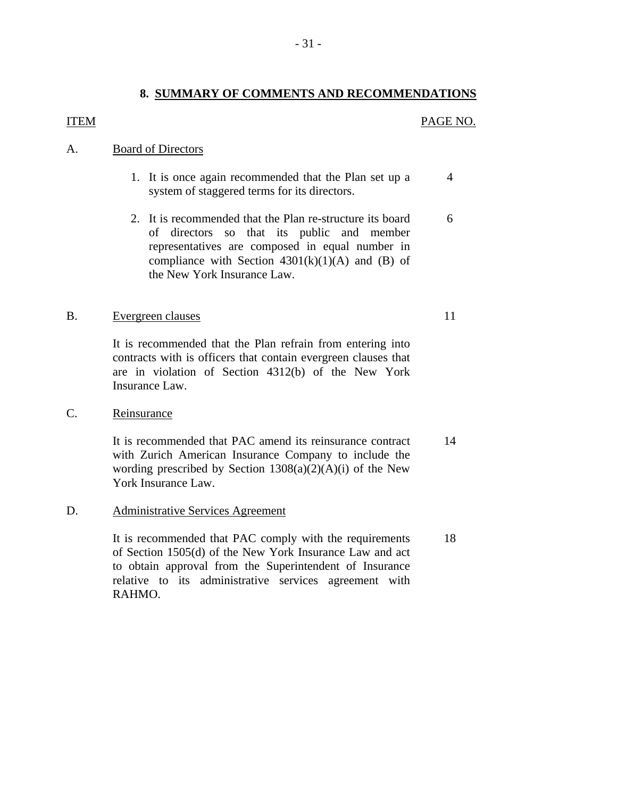#### **8. SUMMARY OF COMMENTS AND RECOMMENDATIONS**

#### **ITEM**

### PAGE NO.

#### A. Board of Directors

- 1. It is once again recommended that the Plan set up a 4 system of staggered terms for its directors.
- 2. It is recommended that the Plan re-structure its board 6 of directors so that its public and member representatives are composed in equal number in compliance with Section  $4301(k)(1)(A)$  and (B) of the New York Insurance Law.

#### B. Evergreen clauses 11

It is recommended that the Plan refrain from entering into contracts with is officers that contain evergreen clauses that are in violation of Section 4312(b) of the New York Insurance Law.

C. Reinsurance

It is recommended that PAC amend its reinsurance contract 14 with Zurich American Insurance Company to include the wording prescribed by Section 1308(a)(2)(A)(i) of the New York Insurance Law.

#### D. Administrative Services Agreement

It is recommended that PAC comply with the requirements 18 of Section 1505(d) of the New York Insurance Law and act to obtain approval from the Superintendent of Insurance relative to its administrative services agreement with RAHMO.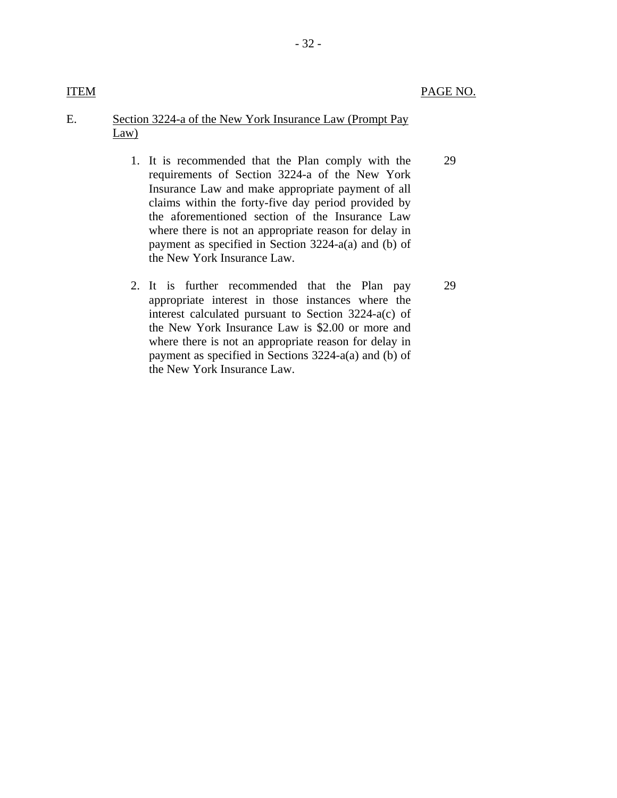29

#### E. Section 3224-a of the New York Insurance Law (Prompt Pay Law)

1. It is recommended that the Plan comply with the requirements of Section 3224-a of the New York Insurance Law and make appropriate payment of all claims within the forty-five day period provided by the aforementioned section of the Insurance Law where there is not an appropriate reason for delay in payment as specified in Section 3224-a(a) and (b) of the New York Insurance Law.

- 32 -

2. It is further recommended that the Plan pay appropriate interest in those instances where the interest calculated pursuant to Section 3224-a(c) of the New York Insurance Law is \$2.00 or more and where there is not an appropriate reason for delay in payment as specified in Sections 3224-a(a) and (b) of the New York Insurance Law. 29